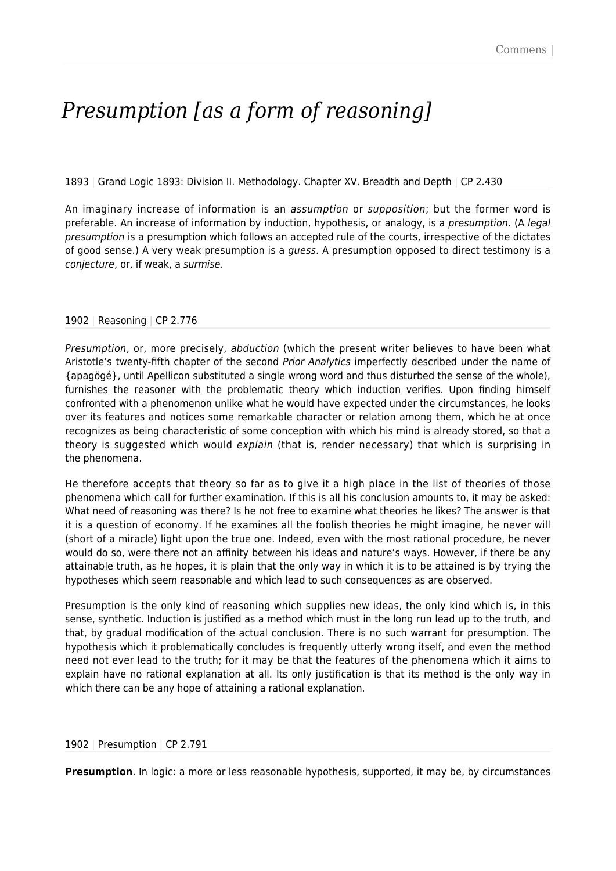# *Presumption [as a form of reasoning]*

1893 | Grand Logic 1893: Division II. Methodology. Chapter XV. Breadth and Depth | CP 2.430

An imaginary increase of information is an assumption or supposition; but the former word is preferable. An increase of information by induction, hypothesis, or analogy, is a *presumption*, (A *legal* presumption is a presumption which follows an accepted rule of the courts, irrespective of the dictates of good sense.) A very weak presumption is a guess. A presumption opposed to direct testimony is a conjecture, or, if weak, a surmise.

## 1902 | Reasoning | CP 2.776

Presumption, or, more precisely, abduction (which the present writer believes to have been what Aristotle's twenty-fifth chapter of the second Prior Analytics imperfectly described under the name of {apagögé}, until Apellicon substituted a single wrong word and thus disturbed the sense of the whole), furnishes the reasoner with the problematic theory which induction verifies. Upon finding himself confronted with a phenomenon unlike what he would have expected under the circumstances, he looks over its features and notices some remarkable character or relation among them, which he at once recognizes as being characteristic of some conception with which his mind is already stored, so that a theory is suggested which would explain (that is, render necessary) that which is surprising in the phenomena.

He therefore accepts that theory so far as to give it a high place in the list of theories of those phenomena which call for further examination. If this is all his conclusion amounts to, it may be asked: What need of reasoning was there? Is he not free to examine what theories he likes? The answer is that it is a question of economy. If he examines all the foolish theories he might imagine, he never will (short of a miracle) light upon the true one. Indeed, even with the most rational procedure, he never would do so, were there not an affinity between his ideas and nature's ways. However, if there be any attainable truth, as he hopes, it is plain that the only way in which it is to be attained is by trying the hypotheses which seem reasonable and which lead to such consequences as are observed.

Presumption is the only kind of reasoning which supplies new ideas, the only kind which is, in this sense, synthetic. Induction is justified as a method which must in the long run lead up to the truth, and that, by gradual modification of the actual conclusion. There is no such warrant for presumption. The hypothesis which it problematically concludes is frequently utterly wrong itself, and even the method need not ever lead to the truth; for it may be that the features of the phenomena which it aims to explain have no rational explanation at all. Its only justification is that its method is the only way in which there can be any hope of attaining a rational explanation.

#### 1902 | Presumption | CP 2.791

**Presumption**. In logic: a more or less reasonable hypothesis, supported, it may be, by circumstances